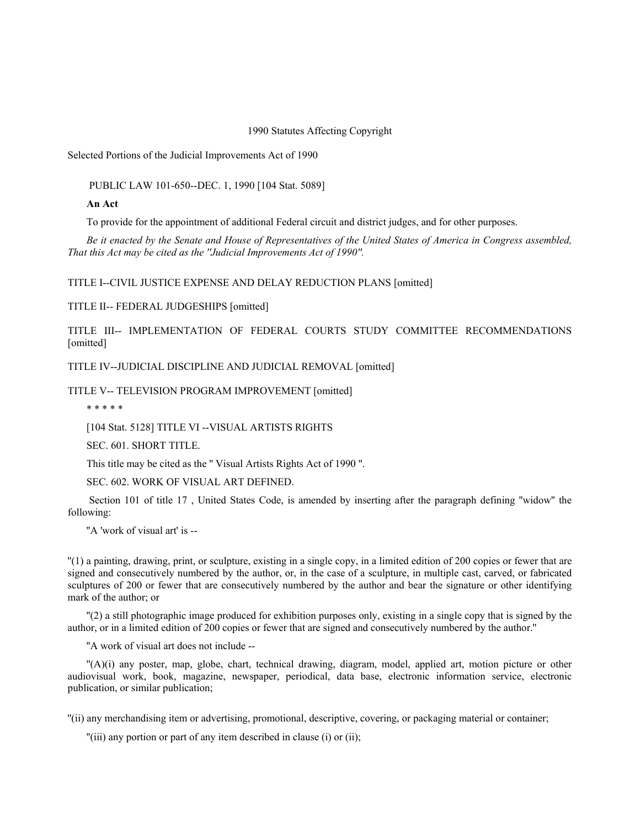1990 Statutes Affecting Copyright

Selected Portions of the Judicial Improvements Act of 1990

PUBLIC LAW 101-650--DEC. 1, 1990 [104 Stat. 5089]

**An Act**

To provide for the appointment of additional Federal circuit and district judges, and for other purposes.

*Be it enacted by the Senate and House of Representatives of the United States of America in Congress assembled, That this Act may be cited as the ''Judicial Improvements Act of 1990''.*

TITLE I--CIVIL JUSTICE EXPENSE AND DELAY REDUCTION PLANS [omitted]

TITLE II-- FEDERAL JUDGESHIPS [omitted]

TITLE III-- IMPLEMENTATION OF FEDERAL COURTS STUDY COMMITTEE RECOMMENDATIONS [omitted]

TITLE IV--JUDICIAL DISCIPLINE AND JUDICIAL REMOVAL [omitted]

TITLE V-- TELEVISION PROGRAM IMPROVEMENT [omitted]

\* \* \* \* \*

[104 Stat. 5128] TITLE VI --VISUAL ARTISTS RIGHTS

SEC. 601. SHORT TITLE.

This title may be cited as the '' Visual Artists Rights Act of 1990 ''.

SEC. 602. WORK OF VISUAL ART DEFINED.

Section 101 of title 17, United States Code, is amended by inserting after the paragraph defining "widow" the following:

''A 'work of visual art' is --

''(1) a painting, drawing, print, or sculpture, existing in a single copy, in a limited edition of 200 copies or fewer that are signed and consecutively numbered by the author, or, in the case of a sculpture, in multiple cast, carved, or fabricated sculptures of 200 or fewer that are consecutively numbered by the author and bear the signature or other identifying mark of the author; or

''(2) a still photographic image produced for exhibition purposes only, existing in a single copy that is signed by the author, or in a limited edition of 200 copies or fewer that are signed and consecutively numbered by the author.''

''A work of visual art does not include --

''(A)(i) any poster, map, globe, chart, technical drawing, diagram, model, applied art, motion picture or other audiovisual work, book, magazine, newspaper, periodical, data base, electronic information service, electronic publication, or similar publication;

''(ii) any merchandising item or advertising, promotional, descriptive, covering, or packaging material or container;

''(iii) any portion or part of any item described in clause (i) or (ii);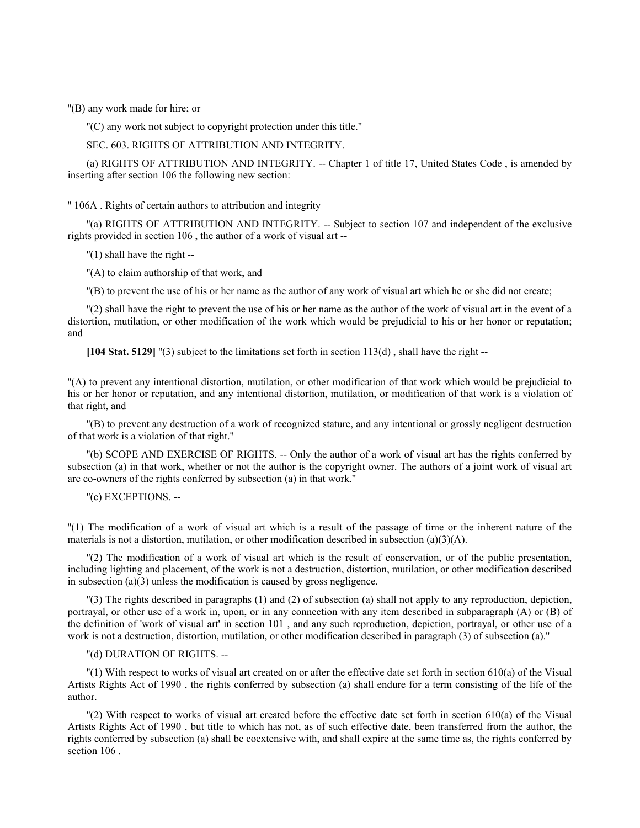''(B) any work made for hire; or

''(C) any work not subject to copyright protection under this title.''

SEC. 603. RIGHTS OF ATTRIBUTION AND INTEGRITY.

(a) RIGHTS OF ATTRIBUTION AND INTEGRITY. -- Chapter 1 of title 17, United States Code, is amended by inserting after section 106 the following new section:

'' 106A . Rights of certain authors to attribution and integrity

''(a) RIGHTS OF ATTRIBUTION AND INTEGRITY. -- Subject to section 107 and independent of the exclusive rights provided in section 106 , the author of a work of visual art --

''(1) shall have the right --

''(A) to claim authorship of that work, and

''(B) to prevent the use of his or her name as the author of any work of visual art which he or she did not create;

''(2) shall have the right to prevent the use of his or her name as the author of the work of visual art in the event of a distortion, mutilation, or other modification of the work which would be prejudicial to his or her honor or reputation; and

[104 Stat. 5129] "(3) subject to the limitations set forth in section  $113(d)$ , shall have the right --

''(A) to prevent any intentional distortion, mutilation, or other modification of that work which would be prejudicial to his or her honor or reputation, and any intentional distortion, mutilation, or modification of that work is a violation of that right, and

''(B) to prevent any destruction of a work of recognized stature, and any intentional or grossly negligent destruction of that work is a violation of that right.''

''(b) SCOPE AND EXERCISE OF RIGHTS. -- Only the author of a work of visual art has the rights conferred by subsection (a) in that work, whether or not the author is the copyright owner. The authors of a joint work of visual art are co-owners of the rights conferred by subsection (a) in that work.''

''(c) EXCEPTIONS. --

''(1) The modification of a work of visual art which is a result of the passage of time or the inherent nature of the materials is not a distortion, mutilation, or other modification described in subsection (a)(3)(A).

''(2) The modification of a work of visual art which is the result of conservation, or of the public presentation, including lighting and placement, of the work is not a destruction, distortion, mutilation, or other modification described in subsection (a)(3) unless the modification is caused by gross negligence.

''(3) The rights described in paragraphs (1) and (2) of subsection (a) shall not apply to any reproduction, depiction, portrayal, or other use of a work in, upon, or in any connection with any item described in subparagraph (A) or (B) of the definition of 'work of visual art' in section 101 , and any such reproduction, depiction, portrayal, or other use of a work is not a destruction, distortion, mutilation, or other modification described in paragraph (3) of subsection (a).''

''(d) DURATION OF RIGHTS. --

''(1) With respect to works of visual art created on or after the effective date set forth in section 610(a) of the Visual Artists Rights Act of 1990 , the rights conferred by subsection (a) shall endure for a term consisting of the life of the author.

''(2) With respect to works of visual art created before the effective date set forth in section 610(a) of the Visual Artists Rights Act of 1990 , but title to which has not, as of such effective date, been transferred from the author, the rights conferred by subsection (a) shall be coextensive with, and shall expire at the same time as, the rights conferred by section 106 .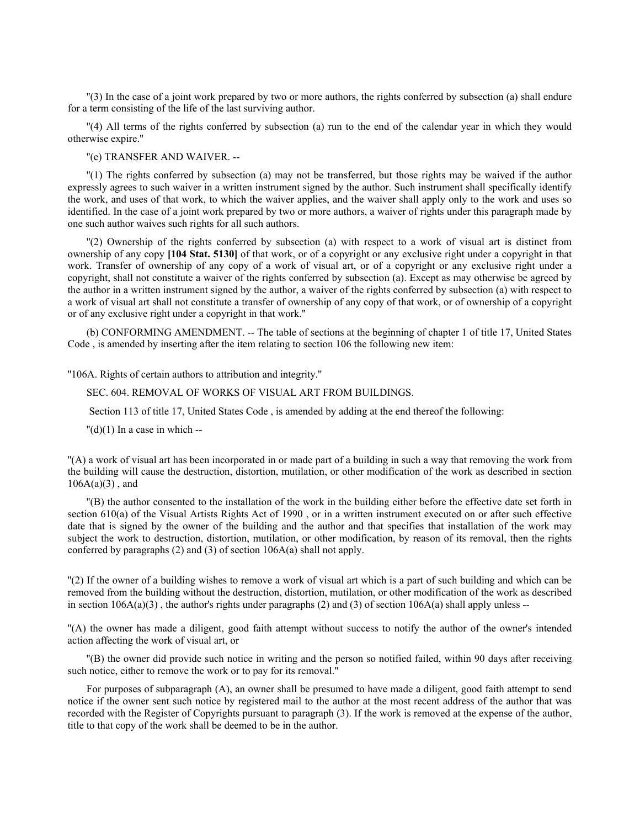''(3) In the case of a joint work prepared by two or more authors, the rights conferred by subsection (a) shall endure for a term consisting of the life of the last surviving author.

''(4) All terms of the rights conferred by subsection (a) run to the end of the calendar year in which they would otherwise expire.''

''(e) TRANSFER AND WAIVER. --

''(1) The rights conferred by subsection (a) may not be transferred, but those rights may be waived if the author expressly agrees to such waiver in a written instrument signed by the author. Such instrument shall specifically identify the work, and uses of that work, to which the waiver applies, and the waiver shall apply only to the work and uses so identified. In the case of a joint work prepared by two or more authors, a waiver of rights under this paragraph made by one such author waives such rights for all such authors.

''(2) Ownership of the rights conferred by subsection (a) with respect to a work of visual art is distinct from ownership of any copy **[104 Stat. 5130]** of that work, or of a copyright or any exclusive right under a copyright in that work. Transfer of ownership of any copy of a work of visual art, or of a copyright or any exclusive right under a copyright, shall not constitute a waiver of the rights conferred by subsection (a). Except as may otherwise be agreed by the author in a written instrument signed by the author, a waiver of the rights conferred by subsection (a) with respect to a work of visual art shall not constitute a transfer of ownership of any copy of that work, or of ownership of a copyright or of any exclusive right under a copyright in that work.''

(b) CONFORMING AMENDMENT. -- The table of sections at the beginning of chapter 1 of title 17, United States Code , is amended by inserting after the item relating to section 106 the following new item:

''106A. Rights of certain authors to attribution and integrity.''

### SEC. 604. REMOVAL OF WORKS OF VISUAL ART FROM BUILDINGS.

Section 113 of title 17, United States Code , is amended by adding at the end thereof the following:

 $''(d)(1)$  In a case in which --

''(A) a work of visual art has been incorporated in or made part of a building in such a way that removing the work from the building will cause the destruction, distortion, mutilation, or other modification of the work as described in section  $106A(a)(3)$ , and

''(B) the author consented to the installation of the work in the building either before the effective date set forth in section 610(a) of the Visual Artists Rights Act of 1990 , or in a written instrument executed on or after such effective date that is signed by the owner of the building and the author and that specifies that installation of the work may subject the work to destruction, distortion, mutilation, or other modification, by reason of its removal, then the rights conferred by paragraphs (2) and (3) of section 106A(a) shall not apply.

''(2) If the owner of a building wishes to remove a work of visual art which is a part of such building and which can be removed from the building without the destruction, distortion, mutilation, or other modification of the work as described in section  $106A(a)(3)$ , the author's rights under paragraphs (2) and (3) of section  $106A(a)$  shall apply unless --

''(A) the owner has made a diligent, good faith attempt without success to notify the author of the owner's intended action affecting the work of visual art, or

''(B) the owner did provide such notice in writing and the person so notified failed, within 90 days after receiving such notice, either to remove the work or to pay for its removal.''

For purposes of subparagraph (A), an owner shall be presumed to have made a diligent, good faith attempt to send notice if the owner sent such notice by registered mail to the author at the most recent address of the author that was recorded with the Register of Copyrights pursuant to paragraph (3). If the work is removed at the expense of the author, title to that copy of the work shall be deemed to be in the author.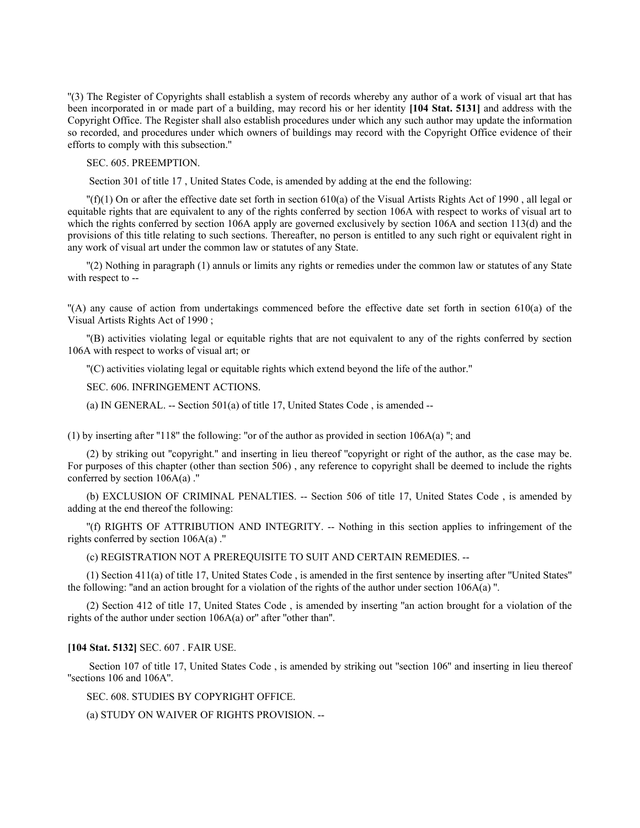''(3) The Register of Copyrights shall establish a system of records whereby any author of a work of visual art that has been incorporated in or made part of a building, may record his or her identity **[104 Stat. 5131]** and address with the Copyright Office. The Register shall also establish procedures under which any such author may update the information so recorded, and procedures under which owners of buildings may record with the Copyright Office evidence of their efforts to comply with this subsection.''

SEC. 605. PREEMPTION.

Section 301 of title 17 , United States Code, is amended by adding at the end the following:

 $\Gamma(f)(1)$  On or after the effective date set forth in section 610(a) of the Visual Artists Rights Act of 1990, all legal or equitable rights that are equivalent to any of the rights conferred by section 106A with respect to works of visual art to which the rights conferred by section 106A apply are governed exclusively by section 106A and section 113(d) and the provisions of this title relating to such sections. Thereafter, no person is entitled to any such right or equivalent right in any work of visual art under the common law or statutes of any State.

''(2) Nothing in paragraph (1) annuls or limits any rights or remedies under the common law or statutes of any State with respect to --

''(A) any cause of action from undertakings commenced before the effective date set forth in section 610(a) of the Visual Artists Rights Act of 1990 ;

''(B) activities violating legal or equitable rights that are not equivalent to any of the rights conferred by section 106A with respect to works of visual art; or

''(C) activities violating legal or equitable rights which extend beyond the life of the author.''

SEC. 606. INFRINGEMENT ACTIONS.

(a) IN GENERAL.  $-$  Section 501(a) of title 17, United States Code, is amended  $-$ 

(1) by inserting after "118" the following: "or of the author as provided in section  $106A(a)$ "; and

(2) by striking out ''copyright.'' and inserting in lieu thereof ''copyright or right of the author, as the case may be. For purposes of this chapter (other than section 506) , any reference to copyright shall be deemed to include the rights conferred by section 106A(a) .''

(b) EXCLUSION OF CRIMINAL PENALTIES. -- Section 506 of title 17, United States Code , is amended by adding at the end thereof the following:

''(f) RIGHTS OF ATTRIBUTION AND INTEGRITY. -- Nothing in this section applies to infringement of the rights conferred by section  $106A(a)$ ."

(c) REGISTRATION NOT A PREREQUISITE TO SUIT AND CERTAIN REMEDIES. --

(1) Section 411(a) of title 17, United States Code , is amended in the first sentence by inserting after ''United States'' the following: ''and an action brought for a violation of the rights of the author under section 106A(a) ''.

(2) Section 412 of title 17, United States Code , is amended by inserting ''an action brought for a violation of the rights of the author under section 106A(a) or'' after ''other than''.

### **[104 Stat. 5132]** SEC. 607 . FAIR USE.

Section 107 of title 17, United States Code, is amended by striking out "section 106" and inserting in lieu thereof ''sections 106 and 106A''.

SEC. 608. STUDIES BY COPYRIGHT OFFICE.

(a) STUDY ON WAIVER OF RIGHTS PROVISION. --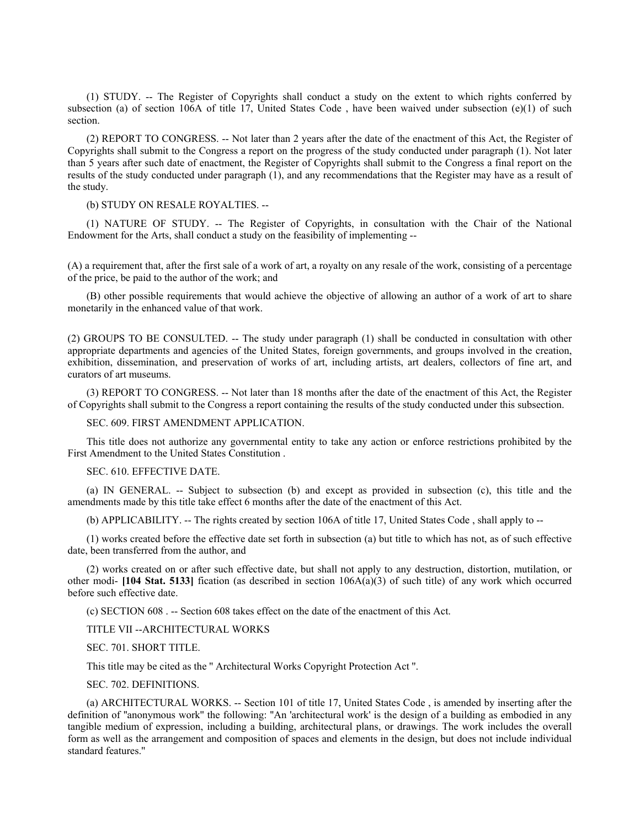(1) STUDY. -- The Register of Copyrights shall conduct a study on the extent to which rights conferred by subsection (a) of section 106A of title 17, United States Code, have been waived under subsection (e)(1) of such section.

(2) REPORT TO CONGRESS. -- Not later than 2 years after the date of the enactment of this Act, the Register of Copyrights shall submit to the Congress a report on the progress of the study conducted under paragraph (1). Not later than 5 years after such date of enactment, the Register of Copyrights shall submit to the Congress a final report on the results of the study conducted under paragraph (1), and any recommendations that the Register may have as a result of the study.

### (b) STUDY ON RESALE ROYALTIES. --

(1) NATURE OF STUDY. -- The Register of Copyrights, in consultation with the Chair of the National Endowment for the Arts, shall conduct a study on the feasibility of implementing --

(A) a requirement that, after the first sale of a work of art, a royalty on any resale of the work, consisting of a percentage of the price, be paid to the author of the work; and

(B) other possible requirements that would achieve the objective of allowing an author of a work of art to share monetarily in the enhanced value of that work.

(2) GROUPS TO BE CONSULTED. -- The study under paragraph (1) shall be conducted in consultation with other appropriate departments and agencies of the United States, foreign governments, and groups involved in the creation, exhibition, dissemination, and preservation of works of art, including artists, art dealers, collectors of fine art, and curators of art museums.

(3) REPORT TO CONGRESS. -- Not later than 18 months after the date of the enactment of this Act, the Register of Copyrights shall submit to the Congress a report containing the results of the study conducted under this subsection.

SEC. 609. FIRST AMENDMENT APPLICATION.

This title does not authorize any governmental entity to take any action or enforce restrictions prohibited by the First Amendment to the United States Constitution .

## SEC. 610. EFFECTIVE DATE.

(a) IN GENERAL. -- Subject to subsection (b) and except as provided in subsection (c), this title and the amendments made by this title take effect 6 months after the date of the enactment of this Act.

(b) APPLICABILITY. -- The rights created by section 106A of title 17, United States Code , shall apply to --

(1) works created before the effective date set forth in subsection (a) but title to which has not, as of such effective date, been transferred from the author, and

(2) works created on or after such effective date, but shall not apply to any destruction, distortion, mutilation, or other modi- **[104 Stat. 5133]** fication (as described in section  $106A(a)(3)$  of such title) of any work which occurred before such effective date.

(c) SECTION 608 . -- Section 608 takes effect on the date of the enactment of this Act.

TITLE VII --ARCHITECTURAL WORKS

SEC. 701. SHORT TITLE.

This title may be cited as the '' Architectural Works Copyright Protection Act ''.

SEC. 702. DEFINITIONS.

(a) ARCHITECTURAL WORKS. -- Section 101 of title 17, United States Code , is amended by inserting after the definition of ''anonymous work'' the following: ''An 'architectural work' is the design of a building as embodied in any tangible medium of expression, including a building, architectural plans, or drawings. The work includes the overall form as well as the arrangement and composition of spaces and elements in the design, but does not include individual standard features.''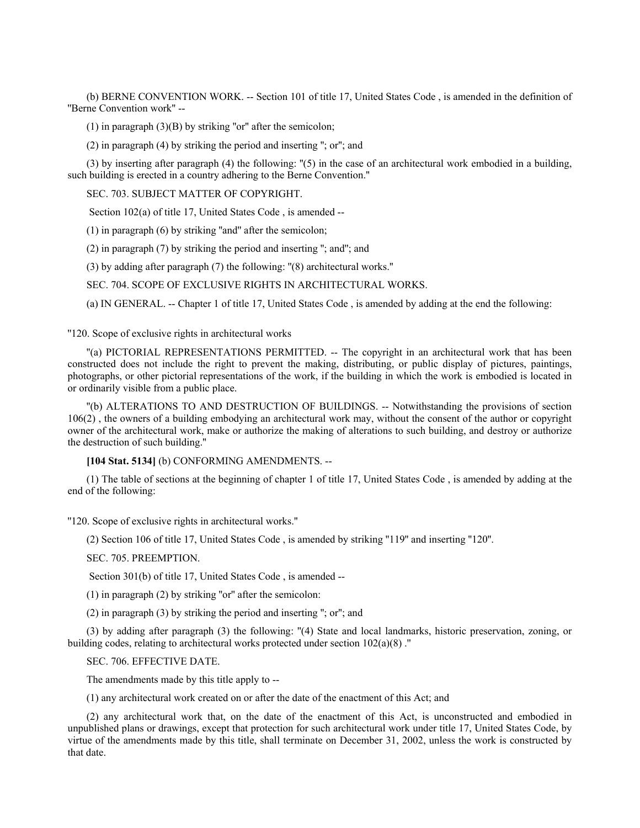(b) BERNE CONVENTION WORK. -- Section 101 of title 17, United States Code , is amended in the definition of ''Berne Convention work'' --

(1) in paragraph  $(3)(B)$  by striking "or" after the semicolon;

(2) in paragraph (4) by striking the period and inserting ''; or''; and

(3) by inserting after paragraph (4) the following: ''(5) in the case of an architectural work embodied in a building, such building is erected in a country adhering to the Berne Convention.''

SEC. 703. SUBJECT MATTER OF COPYRIGHT.

Section 102(a) of title 17, United States Code , is amended --

(1) in paragraph (6) by striking ''and'' after the semicolon;

(2) in paragraph (7) by striking the period and inserting ''; and''; and

(3) by adding after paragraph (7) the following: ''(8) architectural works.''

SEC. 704. SCOPE OF EXCLUSIVE RIGHTS IN ARCHITECTURAL WORKS.

(a) IN GENERAL. -- Chapter 1 of title 17, United States Code , is amended by adding at the end the following:

"120. Scope of exclusive rights in architectural works

''(a) PICTORIAL REPRESENTATIONS PERMITTED. -- The copyright in an architectural work that has been constructed does not include the right to prevent the making, distributing, or public display of pictures, paintings, photographs, or other pictorial representations of the work, if the building in which the work is embodied is located in or ordinarily visible from a public place.

''(b) ALTERATIONS TO AND DESTRUCTION OF BUILDINGS. -- Notwithstanding the provisions of section 106(2) , the owners of a building embodying an architectural work may, without the consent of the author or copyright owner of the architectural work, make or authorize the making of alterations to such building, and destroy or authorize the destruction of such building.''

**[104 Stat. 5134]** (b) CONFORMING AMENDMENTS. --

(1) The table of sections at the beginning of chapter 1 of title 17, United States Code , is amended by adding at the end of the following:

''120. Scope of exclusive rights in architectural works.''

(2) Section 106 of title 17, United States Code , is amended by striking ''119'' and inserting ''120''.

SEC. 705. PREEMPTION.

Section 301(b) of title 17, United States Code , is amended --

(1) in paragraph (2) by striking ''or'' after the semicolon:

(2) in paragraph (3) by striking the period and inserting ''; or''; and

(3) by adding after paragraph (3) the following: ''(4) State and local landmarks, historic preservation, zoning, or building codes, relating to architectural works protected under section 102(a)(8) .''

SEC. 706. EFFECTIVE DATE.

The amendments made by this title apply to --

(1) any architectural work created on or after the date of the enactment of this Act; and

(2) any architectural work that, on the date of the enactment of this Act, is unconstructed and embodied in unpublished plans or drawings, except that protection for such architectural work under title 17, United States Code, by virtue of the amendments made by this title, shall terminate on December 31, 2002, unless the work is constructed by that date.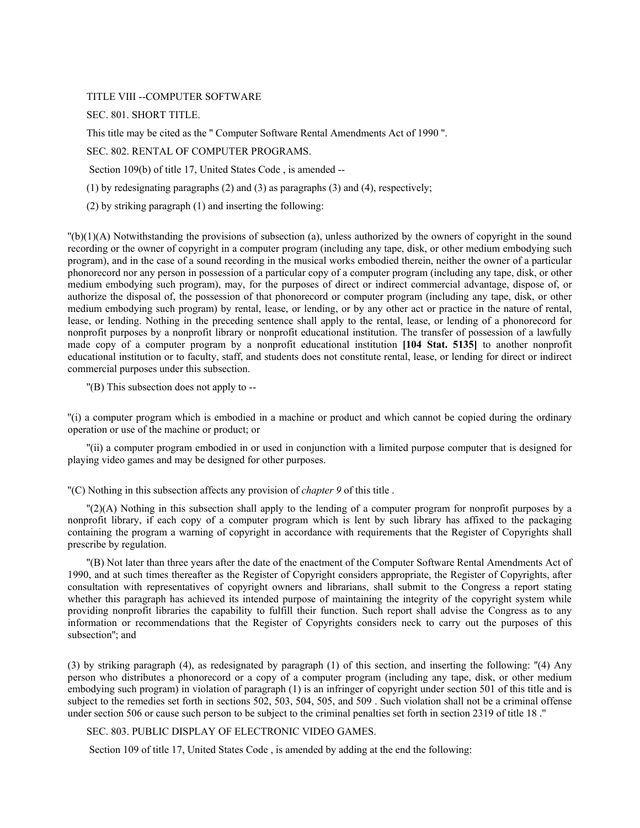TITLE VIII --COMPUTER SOFTWARE

SEC. 801. SHORT TITLE.

This title may be cited as the '' Computer Software Rental Amendments Act of 1990 ''.

SEC. 802. RENTAL OF COMPUTER PROGRAMS.

Section 109(b) of title 17, United States Code , is amended --

(1) by redesignating paragraphs (2) and (3) as paragraphs (3) and (4), respectively;

(2) by striking paragraph (1) and inserting the following:

 $\binom{n}{k}(1)$  Notwithstanding the provisions of subsection (a), unless authorized by the owners of copyright in the sound recording or the owner of copyright in a computer program (including any tape, disk, or other medium embodying such program), and in the case of a sound recording in the musical works embodied therein, neither the owner of a particular phonorecord nor any person in possession of a particular copy of a computer program (including any tape, disk, or other medium embodying such program), may, for the purposes of direct or indirect commercial advantage, dispose of, or authorize the disposal of, the possession of that phonorecord or computer program (including any tape, disk, or other medium embodying such program) by rental, lease, or lending, or by any other act or practice in the nature of rental, lease, or lending. Nothing in the preceding sentence shall apply to the rental, lease, or lending of a phonorecord for nonprofit purposes by a nonprofit library or nonprofit educational institution. The transfer of possession of a lawfully made copy of a computer program by a nonprofit educational institution **[104 Stat. 5135]** to another nonprofit educational institution or to faculty, staff, and students does not constitute rental, lease, or lending for direct or indirect commercial purposes under this subsection.

''(B) This subsection does not apply to --

''(i) a computer program which is embodied in a machine or product and which cannot be copied during the ordinary operation or use of the machine or product; or

''(ii) a computer program embodied in or used in conjunction with a limited purpose computer that is designed for playing video games and may be designed for other purposes.

''(C) Nothing in this subsection affects any provision of *chapter 9* of this title .

''(2)(A) Nothing in this subsection shall apply to the lending of a computer program for nonprofit purposes by a nonprofit library, if each copy of a computer program which is lent by such library has affixed to the packaging containing the program a warning of copyright in accordance with requirements that the Register of Copyrights shall prescribe by regulation.

''(B) Not later than three years after the date of the enactment of the Computer Software Rental Amendments Act of 1990, and at such times thereafter as the Register of Copyright considers appropriate, the Register of Copyrights, after consultation with representatives of copyright owners and librarians, shall submit to the Congress a report stating whether this paragraph has achieved its intended purpose of maintaining the integrity of the copyright system while providing nonprofit libraries the capability to fulfill their function. Such report shall advise the Congress as to any information or recommendations that the Register of Copyrights considers neck to carry out the purposes of this subsection''; and

(3) by striking paragraph (4), as redesignated by paragraph (1) of this section, and inserting the following: ''(4) Any person who distributes a phonorecord or a copy of a computer program (including any tape, disk, or other medium embodying such program) in violation of paragraph (1) is an infringer of copyright under section 501 of this title and is subject to the remedies set forth in sections 502, 503, 504, 505, and 509 . Such violation shall not be a criminal offense under section 506 or cause such person to be subject to the criminal penalties set forth in section 2319 of title 18 .''

SEC. 803. PUBLIC DISPLAY OF ELECTRONIC VIDEO GAMES.

Section 109 of title 17, United States Code , is amended by adding at the end the following: